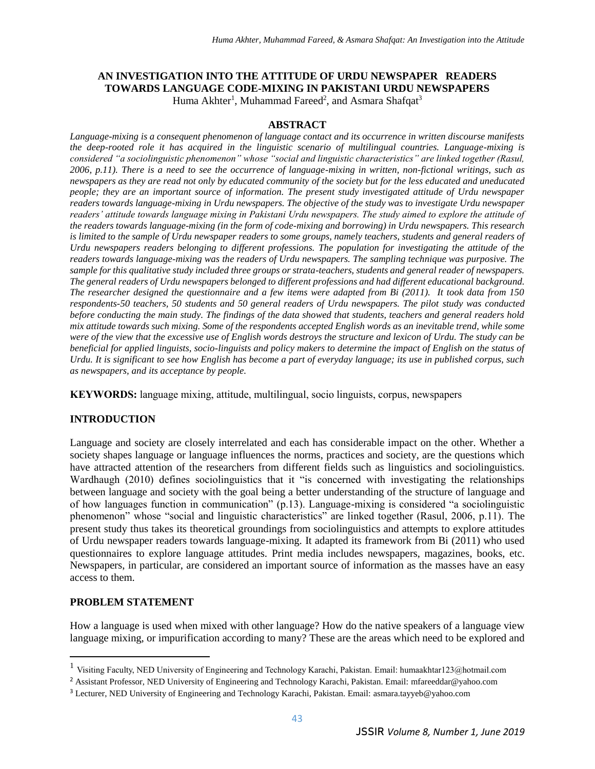#### **AN INVESTIGATION INTO THE ATTITUDE OF URDU NEWSPAPER READERS TOWARDS LANGUAGE CODE-MIXING IN PAKISTANI URDU NEWSPAPERS** Huma Akhter<sup>1</sup>, Muhammad Fareed<sup>2</sup>, and Asmara Shafqat<sup>3</sup>

#### **ABSTRACT**

*Language-mixing is a consequent phenomenon of language contact and its occurrence in written discourse manifests the deep-rooted role it has acquired in the linguistic scenario of multilingual countries. Language-mixing is considered "a sociolinguistic phenomenon" whose "social and linguistic characteristics" are linked together (Rasul, 2006, p.11). There is a need to see the occurrence of language-mixing in written, non-fictional writings, such as newspapers as they are read not only by educated community of the society but for the less educated and uneducated people; they are an important source of information. The present study investigated attitude of Urdu newspaper readers towards language-mixing in Urdu newspapers. The objective of the study was to investigate Urdu newspaper readers' attitude towards language mixing in Pakistani Urdu newspapers. The study aimed to explore the attitude of the readers towards language-mixing (in the form of code-mixing and borrowing) in Urdu newspapers. This research*  is limited to the sample of Urdu newspaper readers to some groups, namely teachers, students and general readers of *Urdu newspapers readers belonging to different professions. The population for investigating the attitude of the readers towards language-mixing was the readers of Urdu newspapers. The sampling technique was purposive. The sample for this qualitative study included three groups or strata-teachers, students and general reader of newspapers. The general readers of Urdu newspapers belonged to different professions and had different educational background. The researcher designed the questionnaire and a few items were adapted from Bi (2011). It took data from 150 respondents-50 teachers, 50 students and 50 general readers of Urdu newspapers. The pilot study was conducted before conducting the main study. The findings of the data showed that students, teachers and general readers hold mix attitude towards such mixing. Some of the respondents accepted English words as an inevitable trend, while some were of the view that the excessive use of English words destroys the structure and lexicon of Urdu. The study can be beneficial for applied linguists, socio-linguists and policy makers to determine the impact of English on the status of Urdu. It is significant to see how English has become a part of everyday language; its use in published corpus, such as newspapers, and its acceptance by people.*

**KEYWORDS:** language mixing, attitude, multilingual, socio linguists, corpus, newspapers

### **INTRODUCTION**

Language and society are closely interrelated and each has considerable impact on the other. Whether a society shapes language or language influences the norms, practices and society, are the questions which have attracted attention of the researchers from different fields such as linguistics and sociolinguistics. Wardhaugh (2010) defines sociolinguistics that it "is concerned with investigating the relationships between language and society with the goal being a better understanding of the structure of language and of how languages function in communication" (p.13). Language-mixing is considered "a sociolinguistic phenomenon" whose "social and linguistic characteristics" are linked together (Rasul, 2006, p.11). The present study thus takes its theoretical groundings from sociolinguistics and attempts to explore attitudes of Urdu newspaper readers towards language-mixing. It adapted its framework from Bi (2011) who used questionnaires to explore language attitudes. Print media includes newspapers, magazines, books, etc. Newspapers, in particular, are considered an important source of information as the masses have an easy access to them.

### **PROBLEM STATEMENT**

 $\overline{\phantom{a}}$ 

How a language is used when mixed with other language? How do the native speakers of a language view language mixing, or impurification according to many? These are the areas which need to be explored and

<sup>&</sup>lt;sup>1</sup> Visiting Faculty, NED University of Engineering and Technology Karachi, Pakistan. Email: humaakhtar123@hotmail.com

<sup>2</sup> Assistant Professor, NED University of Engineering and Technology Karachi, Pakistan. Email: mfareeddar@yahoo.com

<sup>3</sup> Lecturer, NED University of Engineering and Technology Karachi, Pakistan. Email: asmara.tayyeb@yahoo.com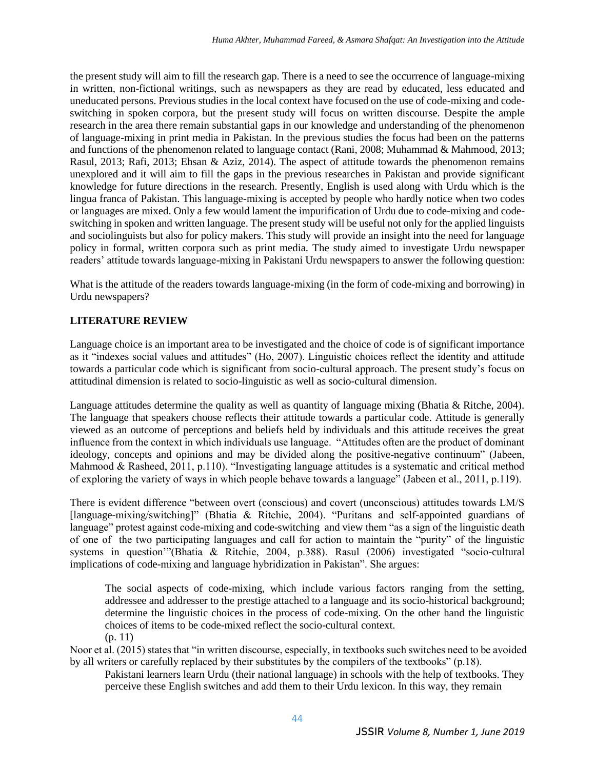the present study will aim to fill the research gap. There is a need to see the occurrence of language-mixing in written, non-fictional writings, such as newspapers as they are read by educated, less educated and uneducated persons. Previous studies in the local context have focused on the use of code-mixing and codeswitching in spoken corpora, but the present study will focus on written discourse. Despite the ample research in the area there remain substantial gaps in our knowledge and understanding of the phenomenon of language-mixing in print media in Pakistan. In the previous studies the focus had been on the patterns and functions of the phenomenon related to language contact (Rani, 2008; Muhammad & Mahmood, 2013; Rasul, 2013; Rafi, 2013; Ehsan & Aziz, 2014). The aspect of attitude towards the phenomenon remains unexplored and it will aim to fill the gaps in the previous researches in Pakistan and provide significant knowledge for future directions in the research. Presently, English is used along with Urdu which is the lingua franca of Pakistan. This language-mixing is accepted by people who hardly notice when two codes or languages are mixed. Only a few would lament the impurification of Urdu due to code-mixing and codeswitching in spoken and written language. The present study will be useful not only for the applied linguists and sociolinguists but also for policy makers. This study will provide an insight into the need for language policy in formal, written corpora such as print media. The study aimed to investigate Urdu newspaper readers' attitude towards language-mixing in Pakistani Urdu newspapers to answer the following question:

What is the attitude of the readers towards language-mixing (in the form of code-mixing and borrowing) in Urdu newspapers?

# **LITERATURE REVIEW**

Language choice is an important area to be investigated and the choice of code is of significant importance as it "indexes social values and attitudes" (Ho, 2007). Linguistic choices reflect the identity and attitude towards a particular code which is significant from socio-cultural approach. The present study's focus on attitudinal dimension is related to socio-linguistic as well as socio-cultural dimension.

Language attitudes determine the quality as well as quantity of language mixing (Bhatia & Ritche, 2004). The language that speakers choose reflects their attitude towards a particular code. Attitude is generally viewed as an outcome of perceptions and beliefs held by individuals and this attitude receives the great influence from the context in which individuals use language. "Attitudes often are the product of dominant ideology, concepts and opinions and may be divided along the positive-negative continuum" (Jabeen, Mahmood & Rasheed, 2011, p.110). "Investigating language attitudes is a systematic and critical method of exploring the variety of ways in which people behave towards a language" (Jabeen et al., 2011, p.119).

There is evident difference "between overt (conscious) and covert (unconscious) attitudes towards LM/S [language-mixing/switching]" (Bhatia & Ritchie, 2004). "Puritans and self-appointed guardians of language" protest against code-mixing and code-switching and view them "as a sign of the linguistic death of one of the two participating languages and call for action to maintain the "purity" of the linguistic systems in question'"(Bhatia & Ritchie, 2004, p.388). Rasul (2006) investigated "socio-cultural implications of code-mixing and language hybridization in Pakistan". She argues:

The social aspects of code-mixing, which include various factors ranging from the setting, addressee and addresser to the prestige attached to a language and its socio-historical background; determine the linguistic choices in the process of code-mixing. On the other hand the linguistic choices of items to be code-mixed reflect the socio-cultural context. (p. 11)

Noor et al. (2015) states that "in written discourse, especially, in textbooks such switches need to be avoided by all writers or carefully replaced by their substitutes by the compilers of the textbooks" (p.18).

Pakistani learners learn Urdu (their national language) in schools with the help of textbooks. They perceive these English switches and add them to their Urdu lexicon. In this way, they remain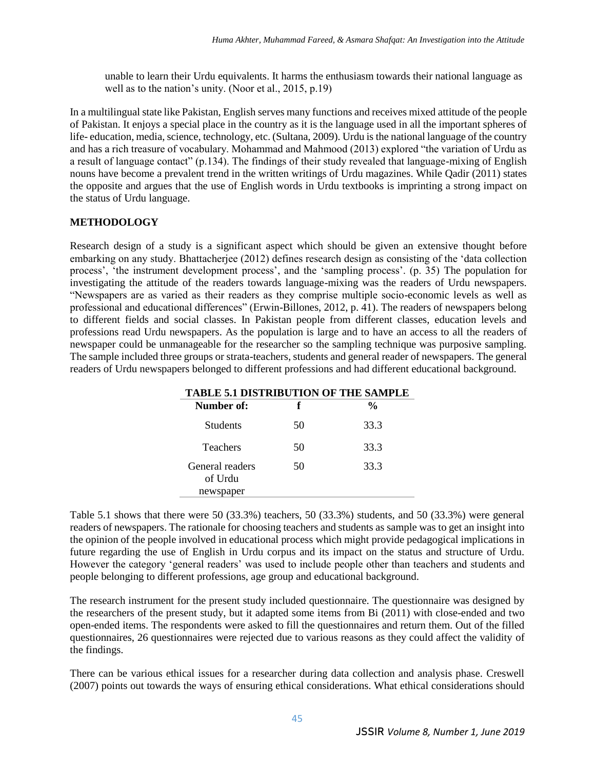unable to learn their Urdu equivalents. It harms the enthusiasm towards their national language as well as to the nation's unity. (Noor et al., 2015, p.19)

In a multilingual state like Pakistan, English serves many functions and receives mixed attitude of the people of Pakistan. It enjoys a special place in the country as it is the language used in all the important spheres of life- education, media, science, technology, etc. (Sultana, 2009). Urdu is the national language of the country and has a rich treasure of vocabulary. Mohammad and Mahmood (2013) explored "the variation of Urdu as a result of language contact" (p.134). The findings of their study revealed that language-mixing of English nouns have become a prevalent trend in the written writings of Urdu magazines. While Qadir (2011) states the opposite and argues that the use of English words in Urdu textbooks is imprinting a strong impact on the status of Urdu language.

### **METHODOLOGY**

Research design of a study is a significant aspect which should be given an extensive thought before embarking on any study. Bhattacherjee (2012) defines research design as consisting of the 'data collection process', 'the instrument development process', and the 'sampling process'. (p. 35) The population for investigating the attitude of the readers towards language-mixing was the readers of Urdu newspapers. "Newspapers are as varied as their readers as they comprise multiple socio-economic levels as well as professional and educational differences" (Erwin-Billones, 2012, p. 41). The readers of newspapers belong to different fields and social classes. In Pakistan people from different classes, education levels and professions read Urdu newspapers. As the population is large and to have an access to all the readers of newspaper could be unmanageable for the researcher so the sampling technique was purposive sampling. The sample included three groups or strata-teachers, students and general reader of newspapers. The general readers of Urdu newspapers belonged to different professions and had different educational background.

| <b>TABLE 5.1 DISTRIBUTION OF THE SAMPLE</b> |    |               |
|---------------------------------------------|----|---------------|
| Number of:                                  | f  | $\frac{6}{9}$ |
| Students                                    | 50 | 33.3          |
| <b>Teachers</b>                             | 50 | 33.3          |
| General readers<br>of Urdu<br>newspaper     | 50 | 33.3          |

Table 5.1 shows that there were 50 (33.3%) teachers, 50 (33.3%) students, and 50 (33.3%) were general readers of newspapers. The rationale for choosing teachers and students as sample was to get an insight into the opinion of the people involved in educational process which might provide pedagogical implications in future regarding the use of English in Urdu corpus and its impact on the status and structure of Urdu. However the category 'general readers' was used to include people other than teachers and students and people belonging to different professions, age group and educational background.

The research instrument for the present study included questionnaire. The questionnaire was designed by the researchers of the present study, but it adapted some items from Bi (2011) with close-ended and two open-ended items. The respondents were asked to fill the questionnaires and return them. Out of the filled questionnaires, 26 questionnaires were rejected due to various reasons as they could affect the validity of the findings.

There can be various ethical issues for a researcher during data collection and analysis phase. Creswell (2007) points out towards the ways of ensuring ethical considerations. What ethical considerations should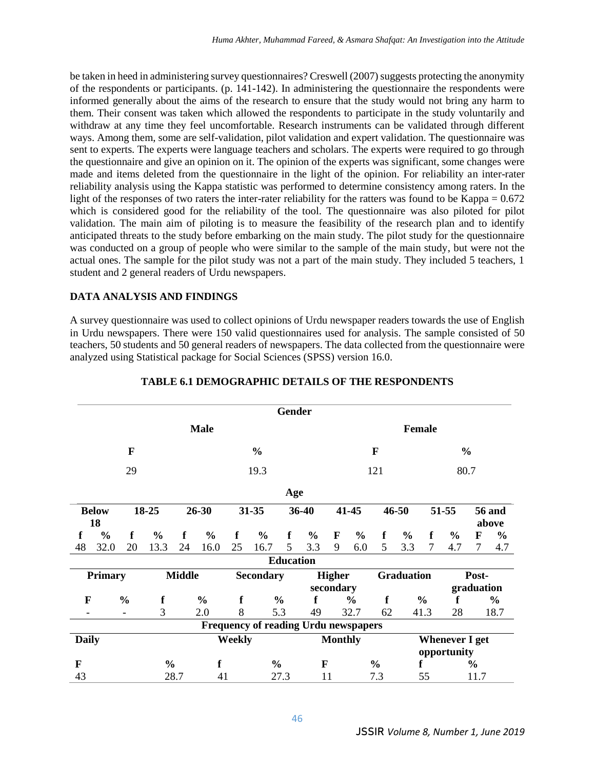be taken in heed in administering survey questionnaires? Creswell (2007) suggests protecting the anonymity of the respondents or participants. (p. 141-142). In administering the questionnaire the respondents were informed generally about the aims of the research to ensure that the study would not bring any harm to them. Their consent was taken which allowed the respondents to participate in the study voluntarily and withdraw at any time they feel uncomfortable. Research instruments can be validated through different ways. Among them, some are self-validation, pilot validation and expert validation. The questionnaire was sent to experts. The experts were language teachers and scholars. The experts were required to go through the questionnaire and give an opinion on it. The opinion of the experts was significant, some changes were made and items deleted from the questionnaire in the light of the opinion. For reliability an inter-rater reliability analysis using the Kappa statistic was performed to determine consistency among raters. In the light of the responses of two raters the inter-rater reliability for the ratters was found to be Kappa = 0.672 which is considered good for the reliability of the tool. The questionnaire was also piloted for pilot validation. The main aim of piloting is to measure the feasibility of the research plan and to identify anticipated threats to the study before embarking on the main study. The pilot study for the questionnaire was conducted on a group of people who were similar to the sample of the main study, but were not the actual ones. The sample for the pilot study was not a part of the main study. They included 5 teachers, 1 student and 2 general readers of Urdu newspapers.

## **DATA ANALYSIS AND FINDINGS**

A survey questionnaire was used to collect opinions of Urdu newspaper readers towards the use of English in Urdu newspapers. There were 150 valid questionnaires used for analysis. The sample consisted of 50 teachers, 50 students and 50 general readers of newspapers. The data collected from the questionnaire were analyzed using Statistical package for Social Sciences (SPSS) version 16.0.

|                |                    |                |               |      |                  |             |                                             | <b>Gender</b>    |                    |                |                   |               |                       |             |               |               |                        |  |
|----------------|--------------------|----------------|---------------|------|------------------|-------------|---------------------------------------------|------------------|--------------------|----------------|-------------------|---------------|-----------------------|-------------|---------------|---------------|------------------------|--|
|                | <b>Male</b>        |                |               |      |                  |             |                                             |                  | <b>Female</b>      |                |                   |               |                       |             |               |               |                        |  |
|                | $\mathbf{F}$       |                |               |      | $\frac{0}{0}$    |             |                                             |                  | $\mathbf{F}$       |                |                   |               | $\frac{0}{0}$         |             |               |               |                        |  |
| 29             |                    |                |               | 19.3 |                  |             | 121                                         |                  |                    |                | 80.7              |               |                       |             |               |               |                        |  |
|                |                    |                |               |      |                  |             |                                             | Age              |                    |                |                   |               |                       |             |               |               |                        |  |
|                | <b>Below</b><br>18 |                | 18-25         |      | $26 - 30$        |             | 31-35                                       |                  | 36-40              |                | 41-45             |               | 46-50                 |             | 51-55         |               | <b>56 and</b><br>above |  |
| f              | $\frac{0}{0}$      | f              | $\frac{6}{6}$ | f    | $\frac{0}{0}$    | f           | $\frac{6}{6}$                               | f                | $\frac{6}{6}$      | F              | $\frac{6}{6}$     | f             | $\frac{6}{6}$         | f           | $\frac{6}{6}$ | $\mathbf F$   | $\frac{6}{9}$          |  |
| 48             | 32.0               | 20             | 13.3          | 24   | 16.0             | 25          | 16.7                                        | 5 <sup>5</sup>   | 3.3                | 9              | 6.0               | 5             | 3.3                   | 7           | 4.7           | 7             | 4.7                    |  |
|                |                    |                |               |      |                  |             |                                             | <b>Education</b> |                    |                |                   |               |                       |             |               |               |                        |  |
| <b>Primary</b> |                    |                | <b>Middle</b> |      | <b>Secondary</b> |             |                                             | <b>Higher</b>    |                    |                | <b>Graduation</b> |               |                       | Post-       |               |               |                        |  |
|                |                    |                |               |      |                  |             |                                             |                  |                    | secondary      |                   |               |                       |             |               | graduation    |                        |  |
| F              |                    | $\frac{0}{0}$  | $\mathbf f$   |      | $\frac{0}{0}$    | $\mathbf f$ | $\frac{0}{0}$                               |                  | f<br>$\frac{0}{0}$ |                | f                 |               | f<br>$\frac{0}{0}$    |             |               | $\frac{0}{0}$ |                        |  |
|                |                    | $\blacksquare$ | 3             |      | 2.0              | 8           | 5.3                                         |                  | 49                 | 32.7           |                   | 62            |                       | 41.3<br>28  |               |               | 18.7                   |  |
|                |                    |                |               |      |                  |             | <b>Frequency of reading Urdu newspapers</b> |                  |                    |                |                   |               |                       |             |               |               |                        |  |
| <b>Daily</b>   |                    |                |               |      |                  | Weekly      |                                             |                  |                    | <b>Monthly</b> |                   |               | <b>Whenever I get</b> |             |               |               |                        |  |
|                |                    |                |               |      |                  |             |                                             |                  |                    |                |                   |               |                       | opportunity |               |               |                        |  |
| F              |                    |                | $\frac{0}{0}$ |      | f                |             | $\frac{0}{0}$                               |                  | F                  |                |                   | $\frac{0}{0}$ | f                     |             |               | $\frac{0}{0}$ |                        |  |
| 43             |                    |                |               | 28.7 | 41               |             |                                             | 27.3             |                    | 11             |                   | 7.3           |                       | 55          |               | 11.7          |                        |  |

## **TABLE 6.1 DEMOGRAPHIC DETAILS OF THE RESPONDENTS**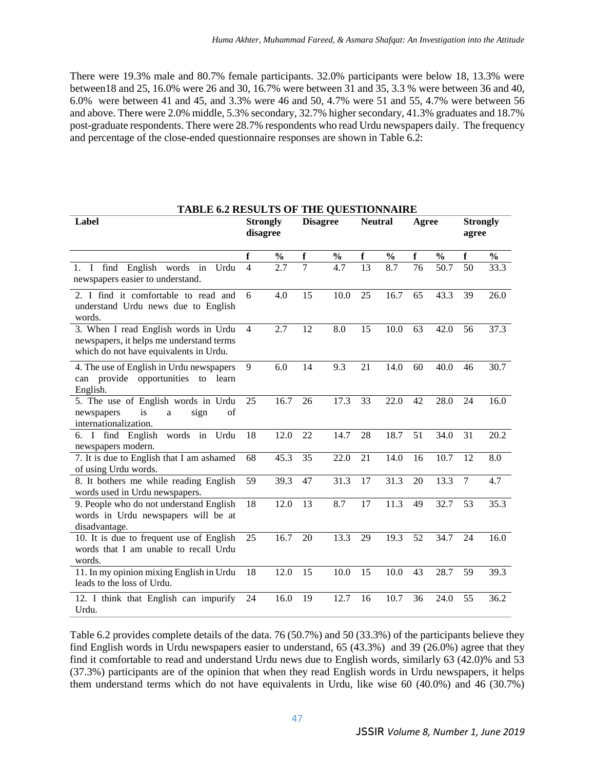There were 19.3% male and 80.7% female participants. 32.0% participants were below 18, 13.3% were between18 and 25, 16.0% were 26 and 30, 16.7% were between 31 and 35, 3.3 % were between 36 and 40, 6.0% were between 41 and 45, and 3.3% were 46 and 50, 4.7% were 51 and 55, 4.7% were between 56 and above. There were 2.0% middle, 5.3% secondary, 32.7% higher secondary, 41.3% graduates and 18.7% post-graduate respondents. There were 28.7% respondents who read Urdu newspapers daily. The frequency and percentage of the close-ended questionnaire responses are shown in Table 6.2:

| <b>TABLE 6.2 RESULTS OF THE QUESTIONNAIRE</b><br>Label                                                                     | <b>Strongly</b> |                   | <b>Disagree</b> |                  | <b>Neutral</b>  |                   | Agree           |                   | <b>Strongly</b> |               |
|----------------------------------------------------------------------------------------------------------------------------|-----------------|-------------------|-----------------|------------------|-----------------|-------------------|-----------------|-------------------|-----------------|---------------|
|                                                                                                                            | disagree        |                   |                 |                  |                 |                   |                 |                   | agree           |               |
|                                                                                                                            | f               | $\frac{0}{0}$     | f               | $\frac{0}{0}$    | f               | $\frac{0}{0}$     | f               | $\frac{0}{0}$     | f               | $\frac{0}{0}$ |
| find English words in Urdu<br>$1. \quad I$<br>newspapers easier to understand.                                             | $\overline{4}$  | 2.7               | 7               | 4.7              | $\overline{13}$ | 8.7               | $\overline{76}$ | $\overline{50.7}$ | $\overline{50}$ | 33.3          |
| 2. I find it comfortable to read and<br>understand Urdu news due to English<br>words.                                      | 6               | 4.0               | 15              | 10.0             | 25              | 16.7              | 65              | 43.3              | 39              | 26.0          |
| 3. When I read English words in Urdu<br>newspapers, it helps me understand terms<br>which do not have equivalents in Urdu. | $\overline{4}$  | 2.7               | 12              | 8.0              | 15              | 10.0              | 63              | 42.0              | 56              | 37.3          |
| 4. The use of English in Urdu newspapers<br>can provide opportunities to learn<br>English.                                 | 9               | 6.0               | 14              | 9.3              | 21              | 14.0              | 60              | 40.0              | 46              | 30.7          |
| 5. The use of English words in Urdu<br>of<br>newspapers<br>sign<br>is<br>a<br>internationalization.                        | 25              | 16.7              | 26              | 17.3             | 33              | 22.0              | 42              | 28.0              | 24              | 16.0          |
| 6. I find English<br>words in Urdu<br>newspapers modern.                                                                   | 18              | 12.0              | 22              | 14.7             | 28              | 18.7              | 51              | 34.0              | 31              | 20.2          |
| 7. It is due to English that I am ashamed<br>of using Urdu words.                                                          | 68              | 45.3              | 35              | 22.0             | 21              | 14.0              | 16              | 10.7              | 12              | 8.0           |
| 8. It bothers me while reading English<br>words used in Urdu newspapers.                                                   | 59              | 39.3              | 47              | 31.3             | 17              | 31.3              | 20              | 13.3              | $\overline{7}$  | 4.7           |
| 9. People who do not understand English<br>words in Urdu newspapers will be at<br>disadvantage.                            | 18              | $\overline{12.0}$ | $\overline{13}$ | $\overline{8.7}$ | $\overline{17}$ | $\overline{11.3}$ | 49              | 32.7              | $\overline{53}$ | 35.3          |
| 10. It is due to frequent use of English<br>words that I am unable to recall Urdu<br>words.                                | 25              | 16.7              | 20              | 13.3             | 29              | 19.3              | 52              | 34.7              | 24              | 16.0          |
| 11. In my opinion mixing English in Urdu<br>leads to the loss of Urdu.                                                     | 18              | 12.0              | 15              | 10.0             | 15              | 10.0              | 43              | 28.7              | 59              | 39.3          |
| 12. I think that English can impurify<br>Urdu.                                                                             | 24              | 16.0              | 19              | 12.7             | 16              | 10.7              | 36              | 24.0              | 55              | 36.2          |

Table 6.2 provides complete details of the data. 76 (50.7%) and 50 (33.3%) of the participants believe they find English words in Urdu newspapers easier to understand, 65 (43.3%) and 39 (26.0%) agree that they find it comfortable to read and understand Urdu news due to English words, similarly 63 (42.0)% and 53 (37.3%) participants are of the opinion that when they read English words in Urdu newspapers, it helps them understand terms which do not have equivalents in Urdu, like wise 60 (40.0%) and 46 (30.7%)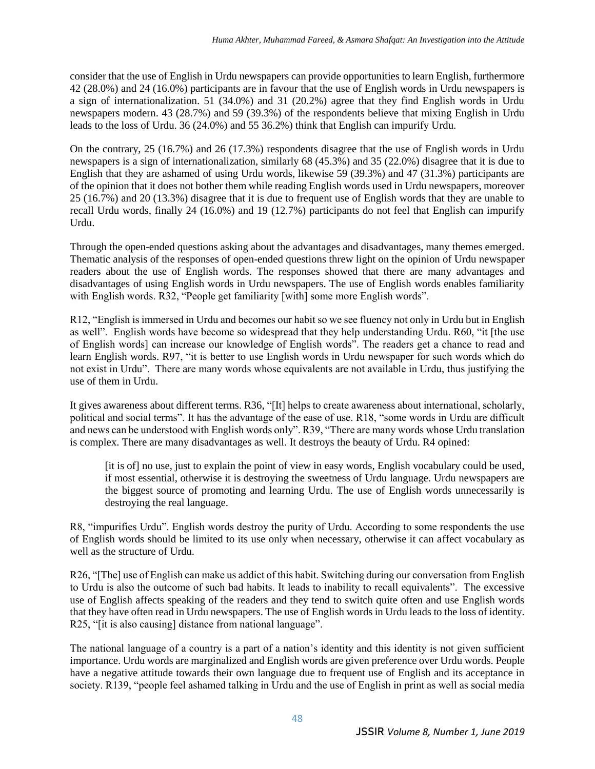consider that the use of English in Urdu newspapers can provide opportunities to learn English, furthermore 42 (28.0%) and 24 (16.0%) participants are in favour that the use of English words in Urdu newspapers is a sign of internationalization. 51 (34.0%) and 31 (20.2%) agree that they find English words in Urdu newspapers modern. 43 (28.7%) and 59 (39.3%) of the respondents believe that mixing English in Urdu leads to the loss of Urdu. 36 (24.0%) and 55 36.2%) think that English can impurify Urdu.

On the contrary, 25 (16.7%) and 26 (17.3%) respondents disagree that the use of English words in Urdu newspapers is a sign of internationalization, similarly 68 (45.3%) and 35 (22.0%) disagree that it is due to English that they are ashamed of using Urdu words, likewise 59 (39.3%) and 47 (31.3%) participants are of the opinion that it does not bother them while reading English words used in Urdu newspapers, moreover 25 (16.7%) and 20 (13.3%) disagree that it is due to frequent use of English words that they are unable to recall Urdu words, finally 24 (16.0%) and 19 (12.7%) participants do not feel that English can impurify Urdu.

Through the open-ended questions asking about the advantages and disadvantages, many themes emerged. Thematic analysis of the responses of open-ended questions threw light on the opinion of Urdu newspaper readers about the use of English words. The responses showed that there are many advantages and disadvantages of using English words in Urdu newspapers. The use of English words enables familiarity with English words. R32, "People get familiarity [with] some more English words".

R12, "English is immersed in Urdu and becomes our habit so we see fluency not only in Urdu but in English as well". English words have become so widespread that they help understanding Urdu. R60, "it [the use of English words] can increase our knowledge of English words". The readers get a chance to read and learn English words. R97, "it is better to use English words in Urdu newspaper for such words which do not exist in Urdu". There are many words whose equivalents are not available in Urdu, thus justifying the use of them in Urdu.

It gives awareness about different terms. R36, "[It] helps to create awareness about international, scholarly, political and social terms". It has the advantage of the ease of use. R18, "some words in Urdu are difficult and news can be understood with English words only". R39, "There are many words whose Urdu translation is complex. There are many disadvantages as well. It destroys the beauty of Urdu. R4 opined:

[it is of] no use, just to explain the point of view in easy words, English vocabulary could be used, if most essential, otherwise it is destroying the sweetness of Urdu language. Urdu newspapers are the biggest source of promoting and learning Urdu. The use of English words unnecessarily is destroying the real language.

R8, "impurifies Urdu". English words destroy the purity of Urdu. According to some respondents the use of English words should be limited to its use only when necessary, otherwise it can affect vocabulary as well as the structure of Urdu.

R26, "[The] use of English can make us addict of this habit. Switching during our conversation from English to Urdu is also the outcome of such bad habits. It leads to inability to recall equivalents". The excessive use of English affects speaking of the readers and they tend to switch quite often and use English words that they have often read in Urdu newspapers. The use of English words in Urdu leads to the loss of identity. R25, "[it is also causing] distance from national language".

The national language of a country is a part of a nation's identity and this identity is not given sufficient importance. Urdu words are marginalized and English words are given preference over Urdu words. People have a negative attitude towards their own language due to frequent use of English and its acceptance in society. R139, "people feel ashamed talking in Urdu and the use of English in print as well as social media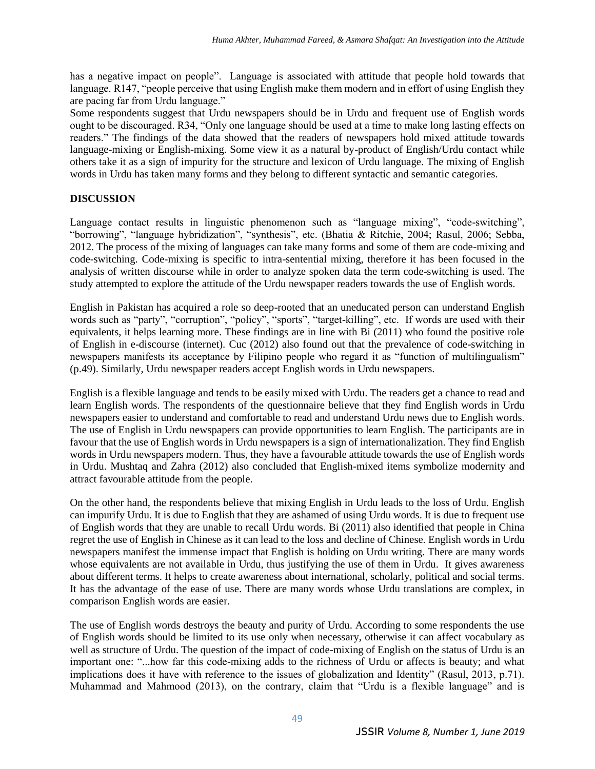has a negative impact on people". Language is associated with attitude that people hold towards that language. R147, "people perceive that using English make them modern and in effort of using English they are pacing far from Urdu language."

Some respondents suggest that Urdu newspapers should be in Urdu and frequent use of English words ought to be discouraged. R34, "Only one language should be used at a time to make long lasting effects on readers." The findings of the data showed that the readers of newspapers hold mixed attitude towards language-mixing or English-mixing. Some view it as a natural by-product of English/Urdu contact while others take it as a sign of impurity for the structure and lexicon of Urdu language. The mixing of English words in Urdu has taken many forms and they belong to different syntactic and semantic categories.

## **DISCUSSION**

Language contact results in linguistic phenomenon such as "language mixing", "code-switching", "borrowing", "language hybridization", "synthesis", etc. (Bhatia & Ritchie, 2004; Rasul, 2006; Sebba, 2012. The process of the mixing of languages can take many forms and some of them are code-mixing and code-switching. Code-mixing is specific to intra-sentential mixing, therefore it has been focused in the analysis of written discourse while in order to analyze spoken data the term code-switching is used. The study attempted to explore the attitude of the Urdu newspaper readers towards the use of English words.

English in Pakistan has acquired a role so deep-rooted that an uneducated person can understand English words such as "party", "corruption", "policy", "sports", "target-killing", etc. If words are used with their equivalents, it helps learning more. These findings are in line with Bi (2011) who found the positive role of English in e-discourse (internet). Cuc (2012) also found out that the prevalence of code-switching in newspapers manifests its acceptance by Filipino people who regard it as "function of multilingualism" (p.49). Similarly, Urdu newspaper readers accept English words in Urdu newspapers.

English is a flexible language and tends to be easily mixed with Urdu. The readers get a chance to read and learn English words. The respondents of the questionnaire believe that they find English words in Urdu newspapers easier to understand and comfortable to read and understand Urdu news due to English words. The use of English in Urdu newspapers can provide opportunities to learn English. The participants are in favour that the use of English words in Urdu newspapers is a sign of internationalization. They find English words in Urdu newspapers modern. Thus, they have a favourable attitude towards the use of English words in Urdu. Mushtaq and Zahra (2012) also concluded that English-mixed items symbolize modernity and attract favourable attitude from the people.

On the other hand, the respondents believe that mixing English in Urdu leads to the loss of Urdu. English can impurify Urdu. It is due to English that they are ashamed of using Urdu words. It is due to frequent use of English words that they are unable to recall Urdu words. Bi (2011) also identified that people in China regret the use of English in Chinese as it can lead to the loss and decline of Chinese. English words in Urdu newspapers manifest the immense impact that English is holding on Urdu writing. There are many words whose equivalents are not available in Urdu, thus justifying the use of them in Urdu. It gives awareness about different terms. It helps to create awareness about international, scholarly, political and social terms. It has the advantage of the ease of use. There are many words whose Urdu translations are complex, in comparison English words are easier.

The use of English words destroys the beauty and purity of Urdu. According to some respondents the use of English words should be limited to its use only when necessary, otherwise it can affect vocabulary as well as structure of Urdu. The question of the impact of code-mixing of English on the status of Urdu is an important one: "...how far this code-mixing adds to the richness of Urdu or affects is beauty; and what implications does it have with reference to the issues of globalization and Identity" (Rasul, 2013, p.71). Muhammad and Mahmood (2013), on the contrary, claim that "Urdu is a flexible language" and is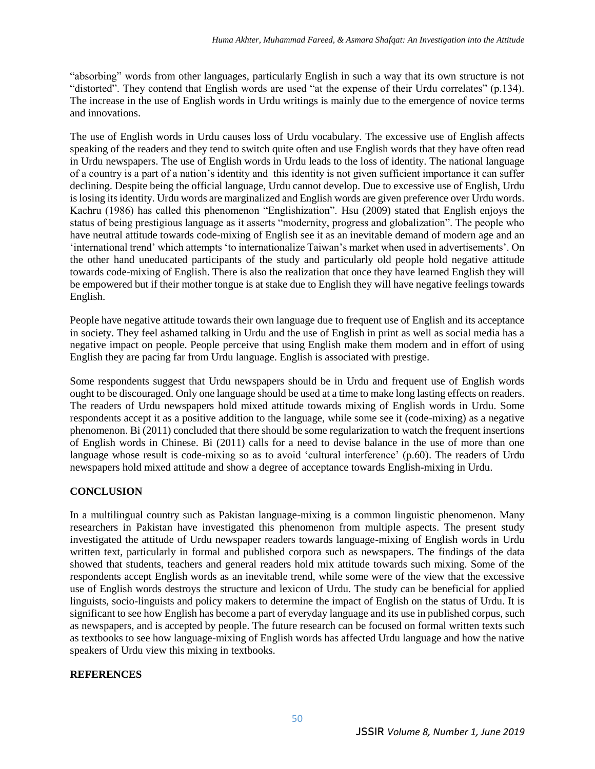"absorbing" words from other languages, particularly English in such a way that its own structure is not "distorted". They contend that English words are used "at the expense of their Urdu correlates" (p.134). The increase in the use of English words in Urdu writings is mainly due to the emergence of novice terms and innovations.

The use of English words in Urdu causes loss of Urdu vocabulary. The excessive use of English affects speaking of the readers and they tend to switch quite often and use English words that they have often read in Urdu newspapers. The use of English words in Urdu leads to the loss of identity. The national language of a country is a part of a nation's identity and this identity is not given sufficient importance it can suffer declining. Despite being the official language, Urdu cannot develop. Due to excessive use of English, Urdu is losing its identity. Urdu words are marginalized and English words are given preference over Urdu words. Kachru (1986) has called this phenomenon "Englishization". Hsu (2009) stated that English enjoys the status of being prestigious language as it asserts "modernity, progress and globalization". The people who have neutral attitude towards code-mixing of English see it as an inevitable demand of modern age and an 'international trend' which attempts 'to internationalize Taiwan's market when used in advertisements'. On the other hand uneducated participants of the study and particularly old people hold negative attitude towards code-mixing of English. There is also the realization that once they have learned English they will be empowered but if their mother tongue is at stake due to English they will have negative feelings towards English.

People have negative attitude towards their own language due to frequent use of English and its acceptance in society. They feel ashamed talking in Urdu and the use of English in print as well as social media has a negative impact on people. People perceive that using English make them modern and in effort of using English they are pacing far from Urdu language. English is associated with prestige.

Some respondents suggest that Urdu newspapers should be in Urdu and frequent use of English words ought to be discouraged. Only one language should be used at a time to make long lasting effects on readers. The readers of Urdu newspapers hold mixed attitude towards mixing of English words in Urdu. Some respondents accept it as a positive addition to the language, while some see it (code-mixing) as a negative phenomenon. Bi (2011) concluded that there should be some regularization to watch the frequent insertions of English words in Chinese. Bi (2011) calls for a need to devise balance in the use of more than one language whose result is code-mixing so as to avoid 'cultural interference' (p.60). The readers of Urdu newspapers hold mixed attitude and show a degree of acceptance towards English-mixing in Urdu.

## **CONCLUSION**

In a multilingual country such as Pakistan language-mixing is a common linguistic phenomenon. Many researchers in Pakistan have investigated this phenomenon from multiple aspects. The present study investigated the attitude of Urdu newspaper readers towards language-mixing of English words in Urdu written text, particularly in formal and published corpora such as newspapers. The findings of the data showed that students, teachers and general readers hold mix attitude towards such mixing. Some of the respondents accept English words as an inevitable trend, while some were of the view that the excessive use of English words destroys the structure and lexicon of Urdu. The study can be beneficial for applied linguists, socio-linguists and policy makers to determine the impact of English on the status of Urdu. It is significant to see how English has become a part of everyday language and its use in published corpus, such as newspapers, and is accepted by people. The future research can be focused on formal written texts such as textbooks to see how language-mixing of English words has affected Urdu language and how the native speakers of Urdu view this mixing in textbooks.

### **REFERENCES**